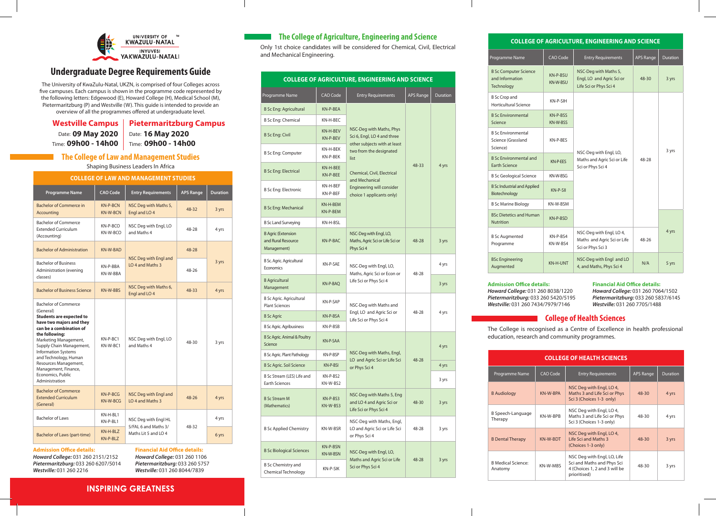

# **Undergraduate Degree Requirements Guide**

The University of KwaZulu-Natal, UKZN, is comprised of four Colleges across five campuses. Each campus is shown in the programme code represented by the following letters: Edgewood (E), Howard College (H), Medical School (M), Pietermaritzburg (P) and Westville (W). This guide is intended to provide an overview of all the programmes offered at undergraduate level.

|  | Westville Campus   Pietermaritzburg Campus |
|--|--------------------------------------------|
|--|--------------------------------------------|

Date: 09 May 2020

**09 May 2020** | Date: 16 May 2020 Time: **09h00 - 14h00** Time: **09h00 - 14h00**

### **The College of Law and Management Studies**

Shaping Business Leaders In Africa

| <b>COLLEGE OF LAW AND MANAGEMENT STUDIES</b> |  |
|----------------------------------------------|--|
|                                              |  |
|                                              |  |

| <b>Programme Name</b>                                                                                                                                                                                                                                                                                                                                    | <b>CAO Code</b>                    | <b>Entry Requirements</b>                            | <b>APS Range</b> | <b>Duration</b> |
|----------------------------------------------------------------------------------------------------------------------------------------------------------------------------------------------------------------------------------------------------------------------------------------------------------------------------------------------------------|------------------------------------|------------------------------------------------------|------------------|-----------------|
| Bachelor of Commerce in<br>Accounting                                                                                                                                                                                                                                                                                                                    | <b>KN-P-BCN</b><br><b>KN-W-BCN</b> | NSC Deg with Maths 5,<br>Engl and LO 4               | 48-32            | 3 yrs           |
| Bachelor of Commerce<br><b>Extended Curriculum</b><br>(Accounting)                                                                                                                                                                                                                                                                                       | KN-P-BCO<br>KN-W-BCO               | NSC Deg with Engl, LO<br>and Maths 4                 | 48-28            | 4 yrs           |
| <b>Bachelor of Administration</b>                                                                                                                                                                                                                                                                                                                        | <b>KN-W-BAD</b>                    |                                                      | 48-28            |                 |
| <b>Bachelor of Business</b><br>Administration (evening<br>classes)                                                                                                                                                                                                                                                                                       | KN-P-BBA<br>KN-W-RRA               | NSC Deg with Engl and<br>LO <sub>4</sub> and Maths 3 | 48-26            | 3 yrs           |
| <b>Bachelor of Business Science</b>                                                                                                                                                                                                                                                                                                                      | KN-W-BBS                           | NSC Deg with Maths 6,<br>Engl and LO 4               | 48-33            | 4 yrs           |
| <b>Bachelor of Commerce</b><br>(General)<br><b>Students are expected to</b><br>have two majors and they<br>can be a combination of<br>the following:<br>Marketing Management,<br>Supply Chain Management,<br><b>Information Systems</b><br>and Technology, Human<br>Resources Management,<br>Management, Finance,<br>Economics, Public<br>Administration | KN-P-BC1<br>KN-W-BC1               | NSC Deg with Engl, LO<br>and Maths 4                 | 48-30            | 3 yrs           |
| <b>Bachelor of Commerce</b><br><b>Extended Curriculum</b><br>(General)                                                                                                                                                                                                                                                                                   | $KN-P-RCG$<br>KN-W-BCG             | NSC Deg with Engl and<br>LO <sub>4</sub> and Maths 3 | $48 - 26$        | 4 yrs           |
| <b>Bachelor of Laws</b>                                                                                                                                                                                                                                                                                                                                  | KN-H-BL1<br>KN-P-BL1               | NSC Deg with Engl HL                                 |                  | 4 yrs           |
| Bachelor of Laws (part-time)                                                                                                                                                                                                                                                                                                                             | KN-H-BLZ<br>KN-P-BLZ               | 5/FAL 6 and Maths 3/<br>Maths Lit 5 and LO 4         | 48-32            | 6 yrs           |
| <b>Admission Office details:</b><br><b>Financial Aid Office details:</b>                                                                                                                                                                                                                                                                                 |                                    |                                                      |                  |                 |

**Admission Office details:** *Howard College:* 031 260 2151/2152 *Pietermaritzburg:* 033 260 6207/5014 *Westville:* 031 260 2216

*Howard College:* 031 260 1106 *Pietermaritzburg:* 033 260 5757 *Westville:* 031 260 8044/7839

# **INSPIRING GREATNESS**

# **The College of Agriculture, Engineering and Science**

Only 1st choice candidates will be considered for Chemical, Civil, Electrical and Mechanical Engineering.

| <b>COLLEGE OF AGRICULTURE, ENGINEERING AND SCIENCE</b>         |                             |                                                                                         |                  |          |
|----------------------------------------------------------------|-----------------------------|-----------------------------------------------------------------------------------------|------------------|----------|
| Programme Name                                                 | <b>CAO Code</b>             | <b>Entry Requirements</b>                                                               | <b>APS Range</b> | Duration |
| <b>B Sc Eng: Agricultural</b>                                  | KN-P-BEA                    |                                                                                         |                  |          |
| <b>B Sc Eng: Chemical</b>                                      | KN-H-BEC                    |                                                                                         |                  |          |
| <b>B Sc Eng: Civil</b>                                         | KN-H-BEV<br>KN-P-BEV        | NSC-Deg with Maths, Phys<br>Sci 6, Engl, LO 4 and three<br>other subjects with at least |                  |          |
| <b>B Sc Eng: Computer</b>                                      | KN-H-BEK<br>KN-P-BEK        | two from the designated<br>list                                                         |                  |          |
| <b>B Sc Eng: Electrical</b>                                    | KN-H-BEE<br>KN-P-BEE        | Chemical, Civil, Electrical<br>and Mechanical                                           | 48-33            | 4 yrs    |
| <b>B Sc Eng: Electronic</b>                                    | KN-H-BEF<br>KN-P-BEF        | Engineering will consider<br>choice 1 applicants only)                                  |                  |          |
| <b>B Sc Eng: Mechanical</b>                                    | KN-H-BEM<br>KN-P-BEM        |                                                                                         |                  |          |
| <b>B Sc Land Surveying</b>                                     | KN-H-BSL                    |                                                                                         |                  |          |
| <b>B Agric (Extension</b><br>and Rural Resource<br>Management) | KN-P-BAC                    | NSC-Deg with Engl, LO,<br>Maths, Agric Sci or Life Sci or<br>Phys Sci 4                 | 48-28            | 3 yrs    |
| B Sc. Agric. Agricultural<br>Economics                         | KN-P-SAE                    | NSC-Deg with Engl, LO,                                                                  | 48-28            | 4 yrs    |
| <b>B</b> Agricultural<br>Management                            | KN-P-BAQ                    | Maths, Agric Sci or Econ or<br>Life Sci or Phys Sci 4                                   |                  | 3 yrs    |
| <b>B Sc Agric. Agricultural</b><br><b>Plant Sciences</b>       | KN-P-SAP                    | NSC-Deg with Maths and                                                                  | 48-28            |          |
| <b>B</b> Sc Agric                                              | KN-P-BSA                    | Engl, LO and Agric Sci or<br>Life Sci or Phys Sci 4                                     |                  | 4 yrs    |
| <b>B Sc Agric. Agribusiness</b>                                | KN-P-BSB                    |                                                                                         |                  |          |
| B Sc Agric. Animal & Poultry<br>Science                        | <b>KN-P-SAA</b>             |                                                                                         | 48-28            | 4 yrs    |
| <b>B Sc Agric. Plant Pathology</b>                             | KN-P-BSP                    | NSC-Deg with Maths, Engl,<br>LO and Agric Sci or Life Sci                               |                  |          |
| <b>B Sc Agric. Soil Science</b>                                | KN-P-BSI                    | or Phys Sci 4                                                                           |                  | 4 yrs    |
| B Sc Stream (LES) Life and<br><b>Earth Sciences</b>            | KN-P-BS2<br>KN-W-BS2        |                                                                                         |                  | 3 yrs    |
| <b>B Sc Stream M</b><br>(Mathematics)                          | KN-P-BS3<br>KN-W-BS3        | NSC-Deg with Maths 5, Eng<br>and LO 4 and Agric Sci or<br>Life Sci or Phys Sci 4        | 48-30            | 3 yrs    |
| <b>B Sc Applied Chemistry</b>                                  | KN-W-BSR                    | NSC-Deg with Maths, Engl,<br>LO and Agric Sci or Life Sci<br>or Phys Sci 4              | 48-28            | 3 yrs    |
| <b>B Sc Biological Sciences</b>                                | KN-P-BSN<br><b>KN-W-BSN</b> | NSC-Deg with Engl, LO,<br>Maths and Agric Sci or Life                                   | 48-28            | 3 yrs    |
| <b>B Sc Chemistry and</b><br>Chemical Technology               | KN-P-SIK                    | Sci or Phys Sci 4                                                                       |                  |          |

#### **COLLEGE OF AGRICULTURE, ENGINEERING AND SCIENCE**

| Programme Name                                                | CAO Code             | <b>Entry Requirements</b>                                                    | <b>APS Range</b> | <b>Duration</b> |
|---------------------------------------------------------------|----------------------|------------------------------------------------------------------------------|------------------|-----------------|
| <b>B Sc Computer Science</b><br>and Information<br>Technology | KN-P-BSU<br>KN-W-BSU | NSC-Deg with Maths 5,<br>Engl, LO and Agric Sci or<br>Life Sci or Phys Sci 4 | 48-30            | 3 yrs           |
| <b>B</b> Sc Crop and<br>Horticultural Science                 | KN-P-SIH             |                                                                              |                  |                 |
| <b>B.Sc Environmental</b><br>Science                          | KN-P-BSS<br>KN-W-BSS |                                                                              |                  |                 |
| <b>B.Sc Environmental</b><br>Science (Grassland<br>Science)   | KN-P-BES             |                                                                              |                  | 3 yrs           |
| <b>B Sc Environmental and</b><br><b>Earth Science</b>         | KN-P-FES             | NSC-Deg with Engl, LO,<br>Maths and Agric Sci or Life<br>Sci or Phys Sci 4   | 48-28            |                 |
| <b>B Sc Geological Science</b>                                | KN-W-BSG             |                                                                              |                  |                 |
| <b>B Sc Industrial and Applied</b><br>Biotechnology           | KN-P-SII             |                                                                              |                  |                 |
| <b>B Sc Marine Biology</b>                                    | KN-W-BSM             |                                                                              |                  |                 |
| <b>BSc Dietetics and Human</b><br><b>Nutrition</b>            | KN-P-BSD             |                                                                              |                  |                 |
| <b>B Sc Augmented</b><br>Programme                            | KN-P-BS4<br>KN-W-BS4 | NSC-Deg with Engl, LO 4,<br>Maths and Agric Sci or Life<br>Sci or Phys Sci 3 | 48-26            | 4 yrs           |
| <b>BSc Engineering</b><br>Augmented                           | KN-H-UNT             | NSC-Deg with Engl and LO<br>4, and Maths, Phys Sci 4                         | N/A              | 5 yrs           |

**Admission Office details:** *Howard College:* 031 260 8038/1220 *Pietermaritzburg:* 033 260 5420/5195 *Westville:* 031 260 7434/7979/7146

#### **Financial Aid Office details:**

*Howard College:* 031 260 7064/1502 *Pietermaritzburg:* 033 260 5837/6145 *Westville:* 031 260 7705/1488

# **College of Health Sciences**

The College is recognised as a Centre of Excellence in health professional education, research and community programmes.

| <b>COLLEGE OF HEALTH SCIENCES</b>    |                 |                                                                                                            |                  |          |
|--------------------------------------|-----------------|------------------------------------------------------------------------------------------------------------|------------------|----------|
| Programme Name                       | CAO Code        | <b>Entry Requirements</b>                                                                                  | <b>APS Range</b> | Duration |
| <b>B</b> Audiology                   | KN-W-BPA        | NSC Deg with Engl, LO 4,<br>Maths 3 and Life Sci or Phys<br>Sci 3 (Choices 1-3 only)                       | $48 - 30$        | 4 yrs    |
| B Speech-Language<br>Therapy         | KN-W-BPB        | NSC Deg with Engl, LO 4,<br>Maths 3 and Life Sci or Phys<br>Sci 3 (Choices 1-3 only)                       | 48-30            | 4 yrs    |
| <b>B</b> Dental Therapy              | <b>KN-W-BDT</b> | NSC Deg with Engl, LO 4,<br>Life Sci and Maths 3<br>(Choices 1-3 only)                                     | $48 - 30$        | 3 yrs    |
| <b>B</b> Medical Science:<br>Anatomy | KN-W-MBS        | NSC Deg with Engl, LO, Life<br>Sci and Maths and Phys Sci<br>4 (Choices 1, 2 and 3 will be<br>prioritised) | 48-30            | 3 yrs    |